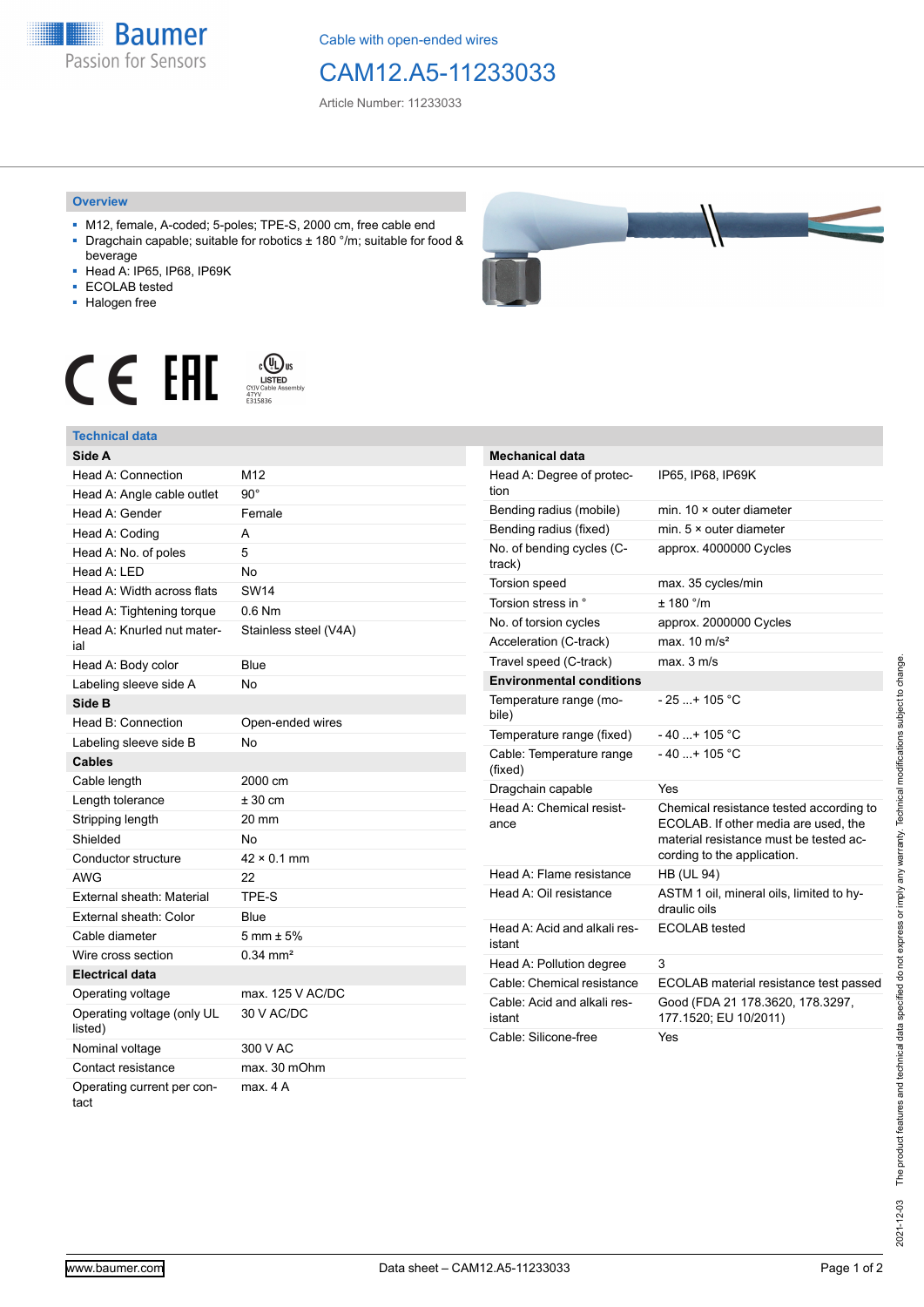**Baumer** Passion for Sensors

Cable with open-ended wires

## CAM12.A5-11233033

Article Number: 11233033

## **Overview**

- M12, female, A-coded; 5-poles; TPE-S, 2000 cm, free cable end ■ Dragchain capable; suitable for robotics ± 180 °/m; suitable for food &
- beverage ■ Head A: IP65, IP68, IP69K
- ECOLAB tested
- Halogen free
- 



## **Technical data**

| Side A                                |                        |
|---------------------------------------|------------------------|
| Head A: Connection                    | M12                    |
| Head A: Angle cable outlet            | $90^\circ$             |
| Head A: Gender                        | Female                 |
| Head A: Coding                        | А                      |
| Head A: No. of poles                  | 5                      |
| Head A: LED                           | No                     |
| Head A: Width across flats            | <b>SW14</b>            |
| Head A: Tightening torque             | $0.6$ Nm               |
| Head A: Knurled nut mater-<br>ial     | Stainless steel (V4A)  |
| Head A: Body color                    | Blue                   |
| Labeling sleeve side A                | No                     |
| Side B                                |                        |
| Head B: Connection                    | Open-ended wires       |
| Labeling sleeve side B                | No                     |
| <b>Cables</b>                         |                        |
| Cable length                          | 2000 cm                |
| Length tolerance                      | $± 30$ cm              |
| Stripping length                      | 20 mm                  |
| Shielded                              | No                     |
| Conductor structure                   | $42 \times 0.1$ mm     |
| <b>AWG</b>                            | 22                     |
| External sheath: Material             | TPE-S                  |
| External sheath: Color                | Blue                   |
| Cable diameter                        | $5 \text{ mm} \pm 5\%$ |
| Wire cross section                    | $0.34 \, \text{mm}^2$  |
| <b>Electrical data</b>                |                        |
| Operating voltage                     | max. 125 V AC/DC       |
| Operating voltage (only UL<br>listed) | 30 V AC/DC             |
| Nominal voltage                       | 300 V AC               |
| Contact resistance                    | max. 30 mOhm           |
| Operating current per con-<br>tact    | max. 4 A               |



| <b>Mechanical data</b>                 |                                                                                                                                                          |
|----------------------------------------|----------------------------------------------------------------------------------------------------------------------------------------------------------|
| Head A: Degree of protec-<br>tion      | IP65, IP68, IP69K                                                                                                                                        |
| Bending radius (mobile)                | min. $10 \times$ outer diameter                                                                                                                          |
| Bending radius (fixed)                 | min. $5 \times$ outer diameter                                                                                                                           |
| No. of bending cycles (C-<br>track)    | approx. 4000000 Cycles                                                                                                                                   |
| <b>Torsion speed</b>                   | max. 35 cycles/min                                                                                                                                       |
| Torsion stress in °                    | $+ 180$ °/m                                                                                                                                              |
| No. of torsion cycles                  | approx. 2000000 Cycles                                                                                                                                   |
| Acceleration (C-track)                 | max. $10 \text{ m/s}^2$                                                                                                                                  |
| Travel speed (C-track)                 | max. 3 m/s                                                                                                                                               |
| <b>Environmental conditions</b>        |                                                                                                                                                          |
| Temperature range (mo-<br>bile)        | $-25$ + 105 °C                                                                                                                                           |
| Temperature range (fixed)              | $-40+105 °C$                                                                                                                                             |
| Cable: Temperature range<br>(fixed)    | $-40$ + 105 °C                                                                                                                                           |
| Dragchain capable                      | Yes                                                                                                                                                      |
| Head A: Chemical resist-<br>ance       | Chemical resistance tested according to<br>ECOLAB. If other media are used, the<br>material resistance must be tested ac-<br>cording to the application. |
| Head A: Flame resistance               | <b>HB (UL 94)</b>                                                                                                                                        |
| Head A: Oil resistance                 | ASTM 1 oil, mineral oils, limited to hy-<br>draulic oils                                                                                                 |
| Head A: Acid and alkali res-<br>istant | <b>ECOLAB</b> tested                                                                                                                                     |
| Head A: Pollution degree               | 3                                                                                                                                                        |
| Cable: Chemical resistance             | ECOLAB material resistance test passed                                                                                                                   |
| Cable: Acid and alkali res-<br>istant  | Good (FDA 21 178.3620, 178.3297,<br>177.1520; EU 10/2011)                                                                                                |
| Cable: Silicone-free                   | Yes                                                                                                                                                      |